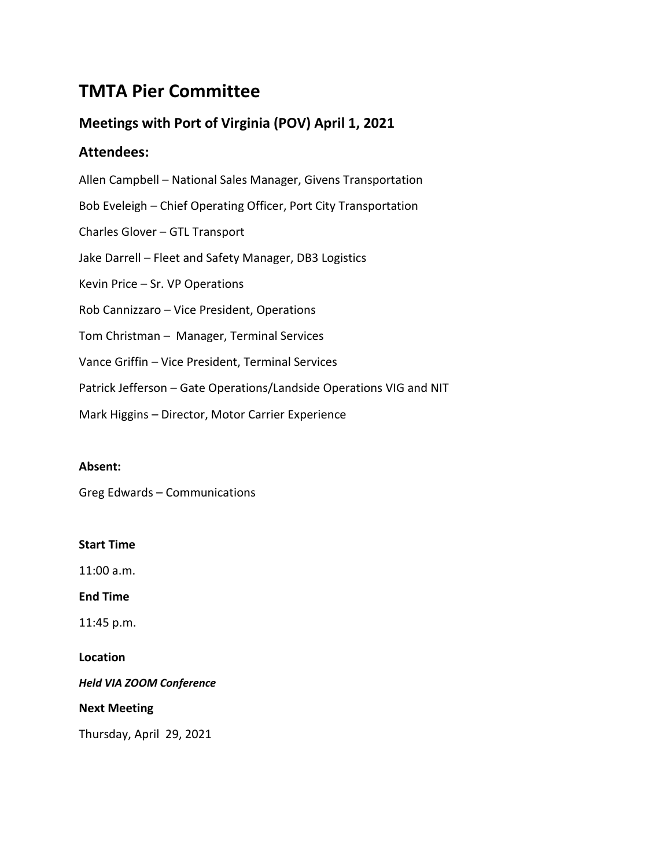# **TMTA Pier Committee**

# **Meetings with Port of Virginia (POV) April 1, 2021**

# **Attendees:**

Allen Campbell – National Sales Manager, Givens Transportation Bob Eveleigh – Chief Operating Officer, Port City Transportation Charles Glover – GTL Transport Jake Darrell – Fleet and Safety Manager, DB3 Logistics Kevin Price – Sr. VP Operations Rob Cannizzaro – Vice President, Operations Tom Christman – Manager, Terminal Services Vance Griffin – Vice President, Terminal Services Patrick Jefferson – Gate Operations/Landside Operations VIG and NIT Mark Higgins – Director, Motor Carrier Experience

# **Absent:**

Greg Edwards – Communications

# **Start Time**

11:00 a.m.

**End Time**

11:45 p.m.

# **Location**

*Held VIA ZOOM Conference*

# **Next Meeting**

Thursday, April 29, 2021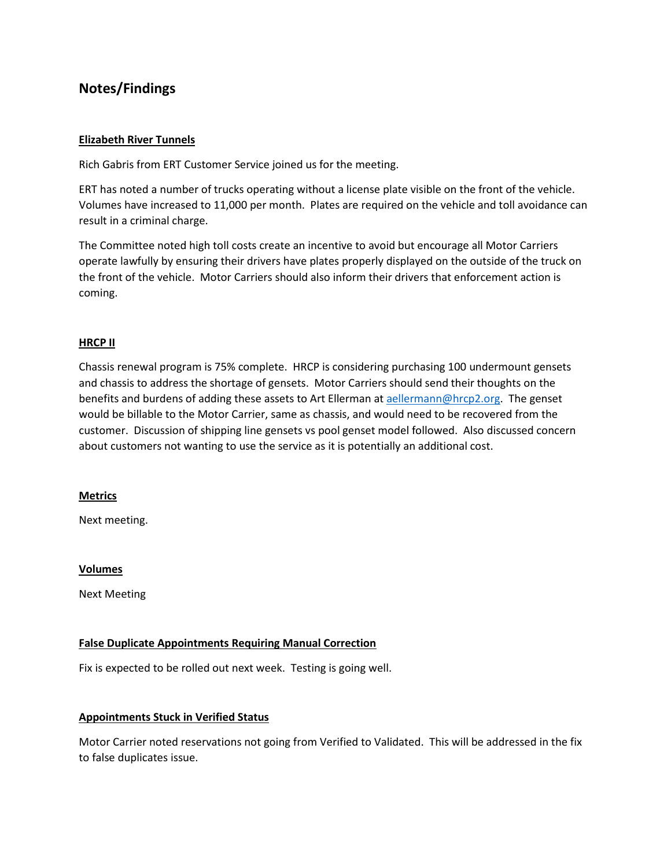# **Notes/Findings**

### **Elizabeth River Tunnels**

Rich Gabris from ERT Customer Service joined us for the meeting.

ERT has noted a number of trucks operating without a license plate visible on the front of the vehicle. Volumes have increased to 11,000 per month. Plates are required on the vehicle and toll avoidance can result in a criminal charge.

The Committee noted high toll costs create an incentive to avoid but encourage all Motor Carriers operate lawfully by ensuring their drivers have plates properly displayed on the outside of the truck on the front of the vehicle. Motor Carriers should also inform their drivers that enforcement action is coming.

#### **HRCP II**

Chassis renewal program is 75% complete. HRCP is considering purchasing 100 undermount gensets and chassis to address the shortage of gensets. Motor Carriers should send their thoughts on the benefits and burdens of adding these assets to Art Ellerman a[t aellermann@hrcp2.org.](mailto:aellermann@hrcp2.org) The genset would be billable to the Motor Carrier, same as chassis, and would need to be recovered from the customer. Discussion of shipping line gensets vs pool genset model followed. Also discussed concern about customers not wanting to use the service as it is potentially an additional cost.

#### **Metrics**

Next meeting.

#### **Volumes**

Next Meeting

### **False Duplicate Appointments Requiring Manual Correction**

Fix is expected to be rolled out next week. Testing is going well.

#### **Appointments Stuck in Verified Status**

Motor Carrier noted reservations not going from Verified to Validated. This will be addressed in the fix to false duplicates issue.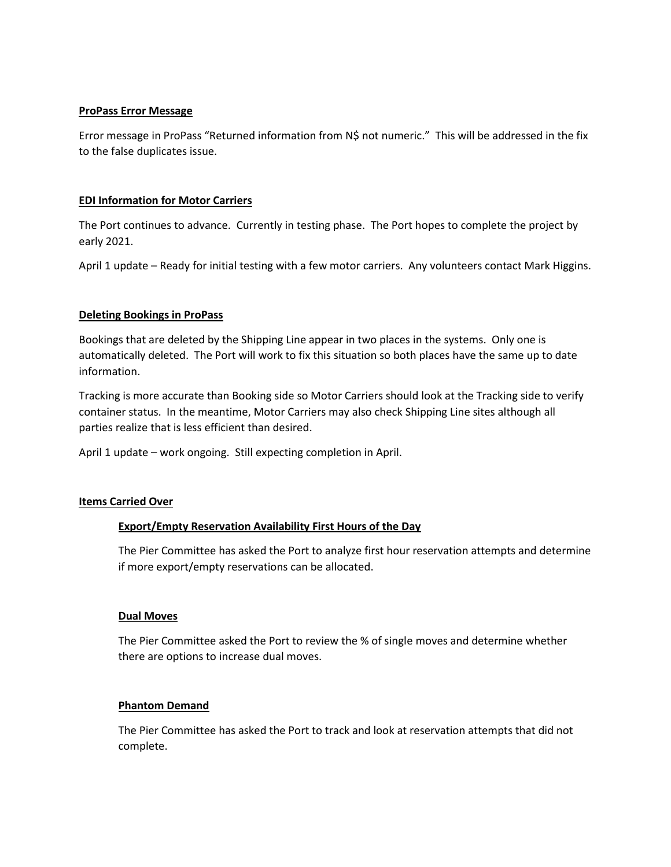### **ProPass Error Message**

Error message in ProPass "Returned information from N\$ not numeric." This will be addressed in the fix to the false duplicates issue.

### **EDI Information for Motor Carriers**

The Port continues to advance. Currently in testing phase. The Port hopes to complete the project by early 2021.

April 1 update – Ready for initial testing with a few motor carriers. Any volunteers contact Mark Higgins.

#### **Deleting Bookings in ProPass**

Bookings that are deleted by the Shipping Line appear in two places in the systems. Only one is automatically deleted. The Port will work to fix this situation so both places have the same up to date information.

Tracking is more accurate than Booking side so Motor Carriers should look at the Tracking side to verify container status. In the meantime, Motor Carriers may also check Shipping Line sites although all parties realize that is less efficient than desired.

April 1 update – work ongoing. Still expecting completion in April.

#### **Items Carried Over**

### **Export/Empty Reservation Availability First Hours of the Day**

The Pier Committee has asked the Port to analyze first hour reservation attempts and determine if more export/empty reservations can be allocated.

#### **Dual Moves**

The Pier Committee asked the Port to review the % of single moves and determine whether there are options to increase dual moves.

#### **Phantom Demand**

The Pier Committee has asked the Port to track and look at reservation attempts that did not complete.